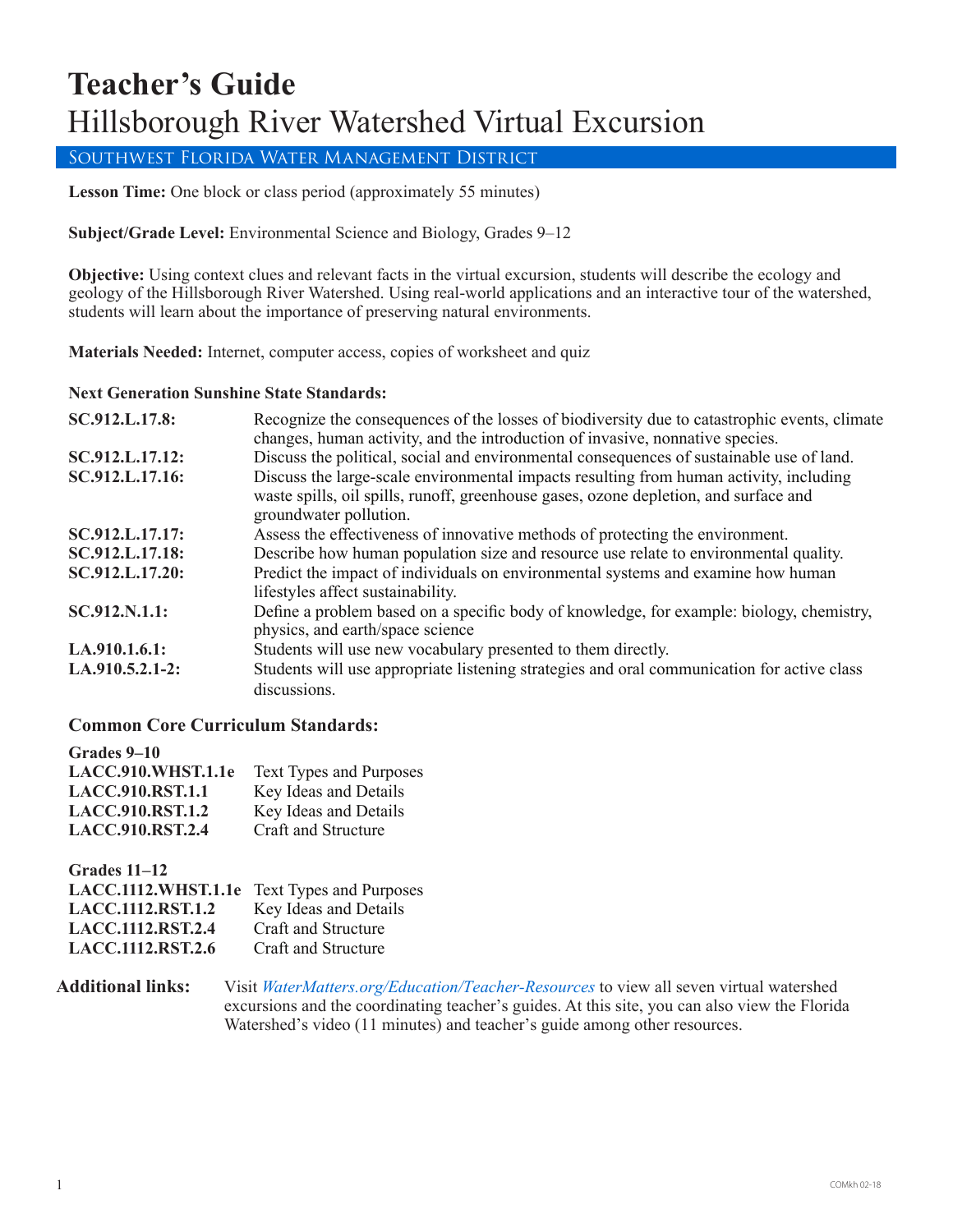# **Teacher's Guide** Hillsborough River Watershed Virtual Excursion

## Southwest Florida Water Management District

**Lesson Time:** One block or class period (approximately 55 minutes)

**Subject/Grade Level:** Environmental Science and Biology, Grades 9–12

**Objective:** Using context clues and relevant facts in the virtual excursion, students will describe the ecology and geology of the Hillsborough River Watershed. Using real-world applications and an interactive tour of the watershed, students will learn about the importance of preserving natural environments.

**Materials Needed:** Internet, computer access, copies of worksheet and quiz

### **Next Generation Sunshine State Standards:**

| SC.912.L.17.8:  | Recognize the consequences of the losses of biodiversity due to catastrophic events, climate<br>changes, human activity, and the introduction of invasive, nonnative species.                            |
|-----------------|----------------------------------------------------------------------------------------------------------------------------------------------------------------------------------------------------------|
| SC.912.L.17.12: | Discuss the political, social and environmental consequences of sustainable use of land.                                                                                                                 |
| SC.912.L.17.16: | Discuss the large-scale environmental impacts resulting from human activity, including<br>waste spills, oil spills, runoff, greenhouse gases, ozone depletion, and surface and<br>groundwater pollution. |
| SC.912.L.17.17: | Assess the effectiveness of innovative methods of protecting the environment.                                                                                                                            |
| SC.912.L.17.18: | Describe how human population size and resource use relate to environmental quality.                                                                                                                     |
| SC.912.L.17.20: | Predict the impact of individuals on environmental systems and examine how human<br>lifestyles affect sustainability.                                                                                    |
| SC.912.N.1.1:   | Define a problem based on a specific body of knowledge, for example: biology, chemistry,<br>physics, and earth/space science                                                                             |
| LA.910.1.6.1:   | Students will use new vocabulary presented to them directly.                                                                                                                                             |
| LA.910.5.2.1-2: | Students will use appropriate listening strategies and oral communication for active class<br>discussions.                                                                                               |

### **Common Core Curriculum Standards:**

| Grades 9–10             |                                |
|-------------------------|--------------------------------|
| LACC.910.WHST.1.1e      | <b>Text Types and Purposes</b> |
| <b>LACC.910.RST.1.1</b> | Key Ideas and Details          |
| <b>LACC.910.RST.1.2</b> | Key Ideas and Details          |
| <b>LACC.910.RST.2.4</b> | Craft and Structure            |

**Grades 11–12 LACC.1112.WHST.1.1e** Text Types and Purposes **LACC.1112.RST.1.2** Key Ideas and Details LACC.1112.RST.2.4 Craft and Structure<br>LACC.1112.RST.2.6 Craft and Structure **LACC.1112.RST.2.6** 

**Additional links:** Visit *[WaterMatters.org/Education/](https://www.swfwmd.state.fl.us/residents/education/teacher-resources)Teacher-Resources* to view all seven virtual watershed excursions and the coordinating teacher's guides. At this site, you can also view the Florida Watershed's video (11 minutes) and teacher's guide among other resources.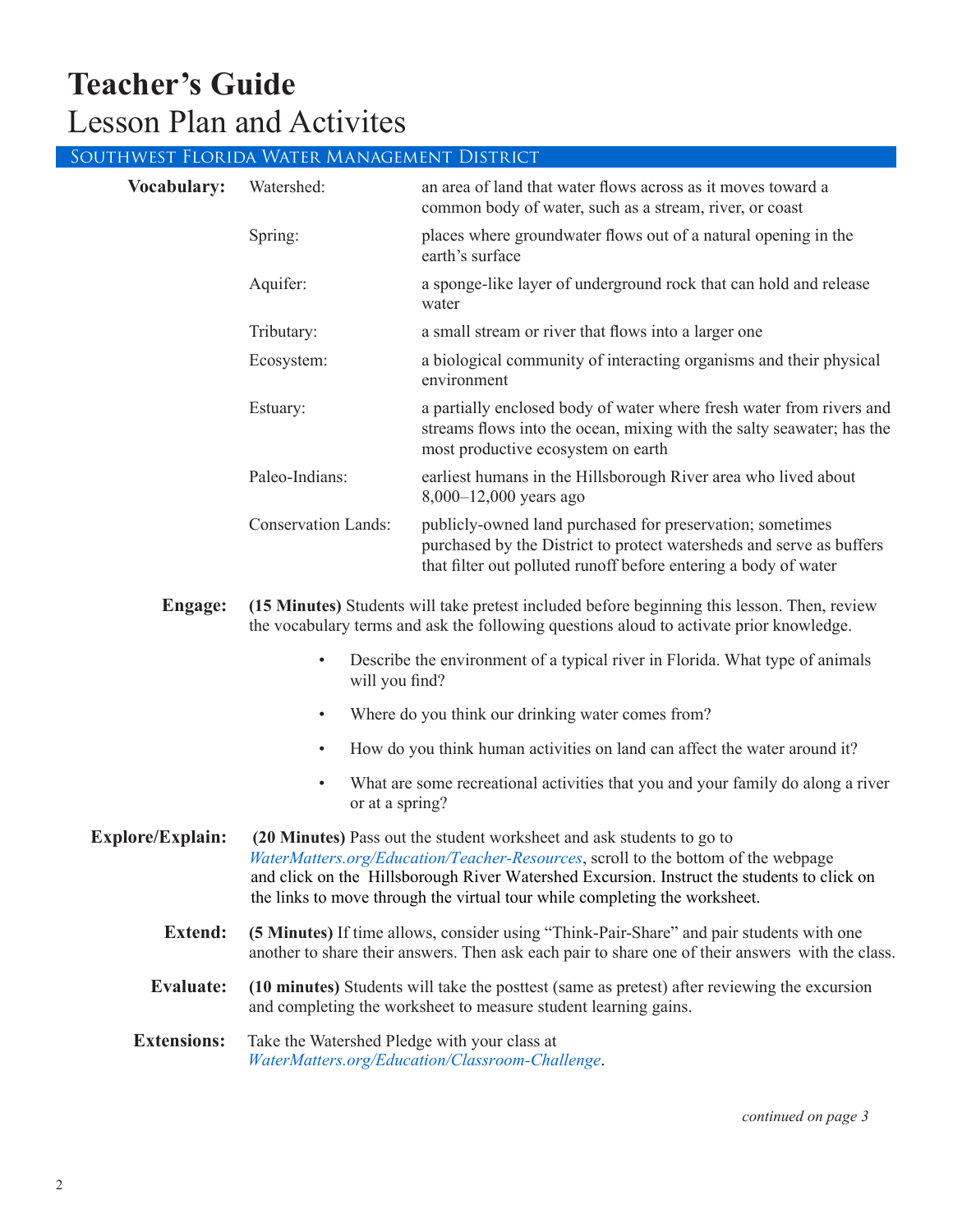# **Teacher's Guide** Lesson Plan and Activites

|                    | Southwest Florida Water Management District |                                                                                                                                                                                                      |
|--------------------|---------------------------------------------|------------------------------------------------------------------------------------------------------------------------------------------------------------------------------------------------------|
| <b>Vocabulary:</b> | Watershed:                                  | an area of land that water flows across as it moves toward a<br>common body of water, such as a stream, river, or coast                                                                              |
|                    | Spring:                                     | places where groundwater flows out of a natural opening in the<br>earth's surface                                                                                                                    |
|                    | Aquifer:                                    | a sponge-like layer of underground rock that can hold and release<br>water                                                                                                                           |
|                    | Tributary:                                  | a small stream or river that flows into a larger one                                                                                                                                                 |
|                    | Ecosystem:                                  | a biological community of interacting organisms and their physical<br>environment                                                                                                                    |
|                    | Estuary:                                    | a partially enclosed body of water where fresh water from rivers and<br>streams flows into the ocean, mixing with the salty seawater; has the<br>most productive ecosystem on earth                  |
|                    | Paleo-Indians:                              | earliest humans in the Hillsborough River area who lived about<br>$8,000 - 12,000$ years ago                                                                                                         |
|                    | <b>Conservation Lands:</b>                  | publicly-owned land purchased for preservation; sometimes<br>purchased by the District to protect watersheds and serve as buffers<br>that filter out polluted runoff before entering a body of water |
| <b>Engage:</b>     |                                             | (15 Minutes) Students will take pretest included before beginning this lesson. Then, review<br>the vocabulary terms and ask the following questions aloud to activate prior knowledge.               |

- Describe the environment of a typical river in Florida. What type of animals will you find?
- Where do you think our drinking water comes from?
- How do you think human activities on land can affect the water around it?
- What are some recreational activities that you and your family do along a river or at a spring?

**Explore/Explain:** (20 Minutes) Pass out the student worksheet and ask students to go to *WaterMatters.org/[Education/Teacher-Resources](https://www.swfwmd.state.fl.us/residents/education/teacher-resources)*, scroll to the bottom of the webpage and click on the Hillsborough River Watershed Excursion. Instruct the students to click on the links to move through the virtual tour while completing the worksheet.

- **Extend: (5 Minutes)** If time allows, consider using "Think-Pair-Share" and pair students with one another to share their answers. Then ask each pair to share one of their answers with the class.
- **Evaluate: (10 minutes)** Students will take the posttest (same as pretest) after reviewing the excursion and completing the worksheet to measure student learning gains.

**Extensions:** Take the Watershed Pledge with your class at *[WaterMatters.org/Education/Classroom-Challenge](https://www.swfwmd.state.fl.us/education/classroom-challenge)*.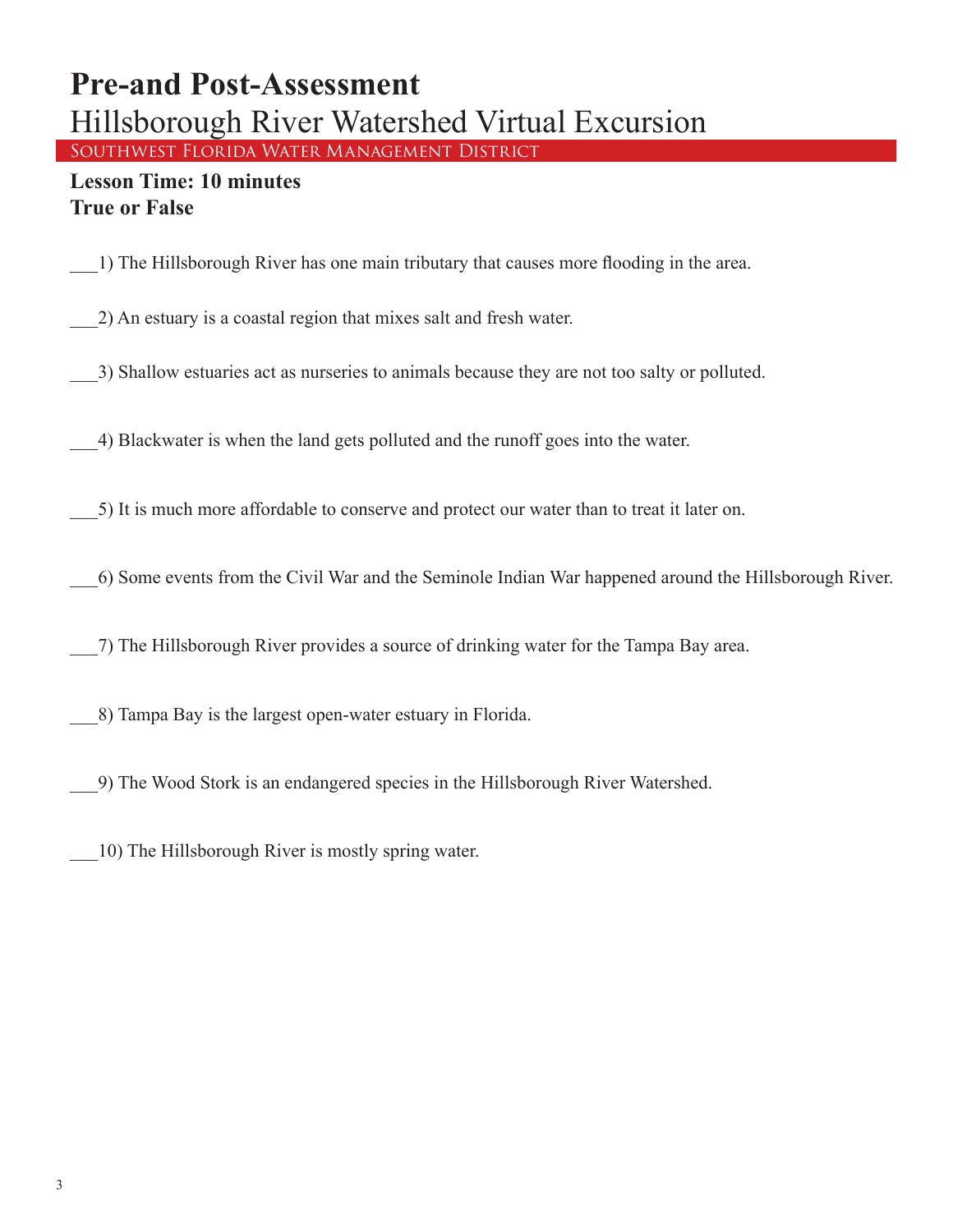## **Pre-and Post-Assessment** Hillsborough River Watershed Virtual Excursion Southwest Florida Water Management District

## **Lesson Time: 10 minutes True or False**

\_\_\_1) The Hillsborough River has one main tributary that causes more flooding in the area.

\_\_\_2) An estuary is a coastal region that mixes salt and fresh water.

\_\_\_3) Shallow estuaries act as nurseries to animals because they are not too salty or polluted.

\_\_\_4) Blackwater is when the land gets polluted and the runoff goes into the water.

\_\_\_5) It is much more affordable to conserve and protect our water than to treat it later on.

\_\_\_6) Some events from the Civil War and the Seminole Indian War happened around the Hillsborough River.

\_\_\_7) The Hillsborough River provides a source of drinking water for the Tampa Bay area.

\_\_\_8) Tampa Bay is the largest open-water estuary in Florida.

\_\_\_9) The Wood Stork is an endangered species in the Hillsborough River Watershed.

\_\_\_10) The Hillsborough River is mostly spring water.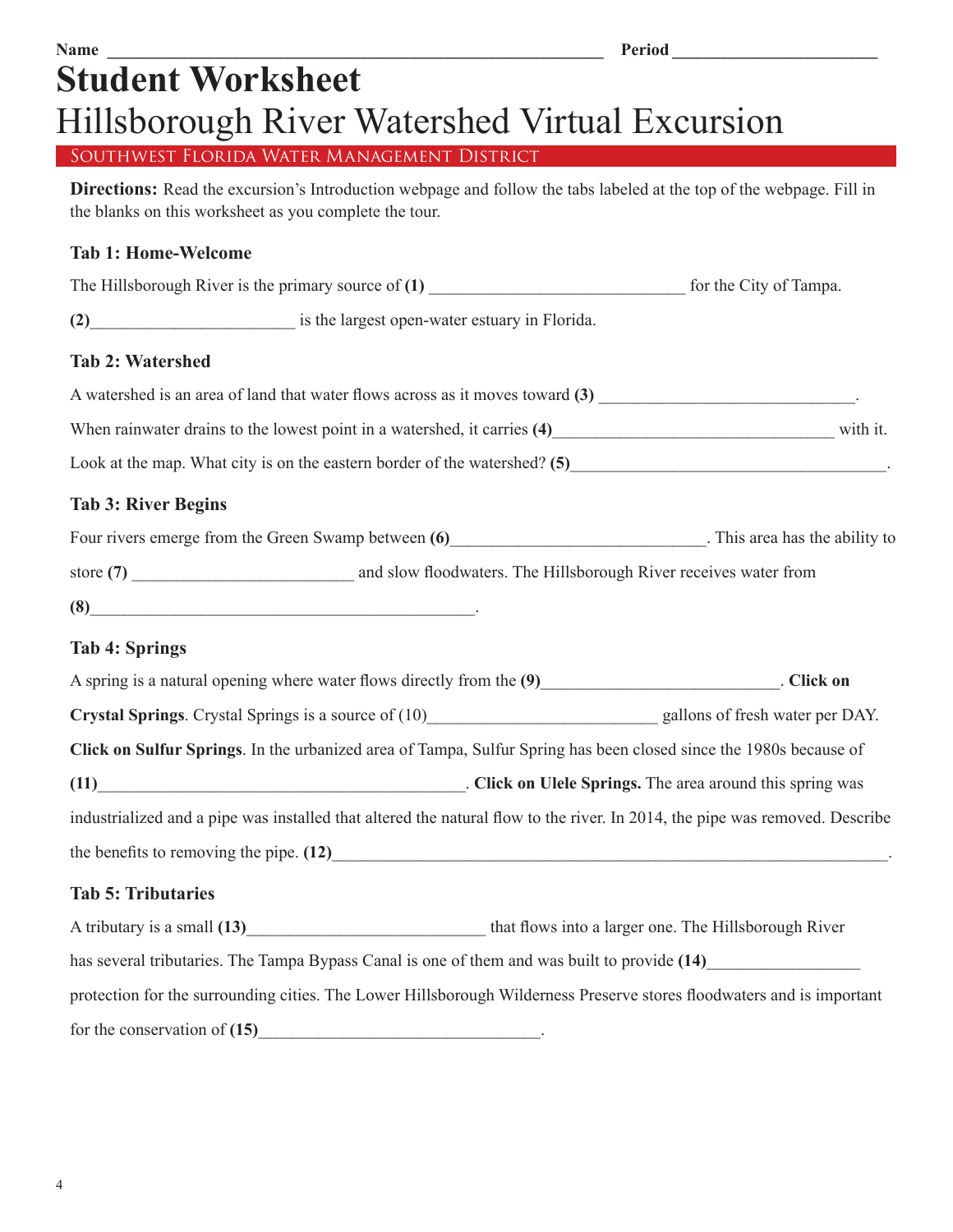# **Name \_\_\_\_\_\_\_\_\_\_\_\_\_\_\_\_\_\_\_\_\_\_\_\_\_\_\_\_\_\_\_\_\_\_\_\_\_\_\_\_\_\_\_\_\_\_\_\_\_\_\_\_\_\_\_\_\_\_ Period \_\_\_\_\_\_\_\_\_\_\_\_\_\_\_\_\_\_\_\_\_\_\_\_ Student Worksheet** Hillsborough River Watershed Virtual Excursion

Southwest Florida Water Management District

**Directions:** Read the excursion's Introduction webpage and follow the tabs labeled at the top of the webpage. Fill in the blanks on this worksheet as you complete the tour.

## **Tab 1: Home-Welcome**

| The Hillsborough River is the primary source of $(1)$ | for the City of Tampa.                        |  |
|-------------------------------------------------------|-----------------------------------------------|--|
| (2)                                                   | is the largest open-water estuary in Florida. |  |
| <b>Tab 2: Watershed</b>                               |                                               |  |

| A watershed is an area of land that water flows across as it moves toward (3) |          |
|-------------------------------------------------------------------------------|----------|
| When rainwater drains to the lowest point in a watershed, it carries (4)      | with it. |

Look at the map. What city is on the eastern border of the watershed? **(5)**\_\_\_\_\_\_\_\_\_\_\_\_\_\_\_\_\_\_\_\_\_\_\_\_\_\_\_\_\_\_\_\_\_\_\_\_\_.

## **Tab 3: River Begins**

| Four rivers emerge from the Green Swamp between (6) | . This area has the ability to |
|-----------------------------------------------------|--------------------------------|
|                                                     |                                |

store (7) and slow floodwaters. The Hillsborough River receives water from

**(8)**\_\_\_\_\_\_\_\_\_\_\_\_\_\_\_\_\_\_\_\_\_\_\_\_\_\_\_\_\_\_\_\_\_\_\_\_\_\_\_\_\_\_\_\_\_.

## **Tab 4: Springs**

| A spring is a natural opening where water flows directly from the (9)                                                       | . Click on |
|-----------------------------------------------------------------------------------------------------------------------------|------------|
|                                                                                                                             |            |
| Click on Sulfur Springs. In the urbanized area of Tampa, Sulfur Spring has been closed since the 1980s because of           |            |
| (11) Click on Ulele Springs. The area around this spring was                                                                |            |
| industrialized and a pipe was installed that altered the natural flow to the river. In 2014, the pipe was removed. Describe |            |
|                                                                                                                             |            |
| <b>Tab 5: Tributaries</b>                                                                                                   |            |
| A tributary is a small (13) has that flows into a larger one. The Hillsborough River                                        |            |
| has several tributaries. The Tampa Bypass Canal is one of them and was built to provide (14)                                |            |
| protection for the surrounding cities. The Lower Hillsborough Wilderness Preserve stores floodwaters and is important       |            |

for the conservation of (15)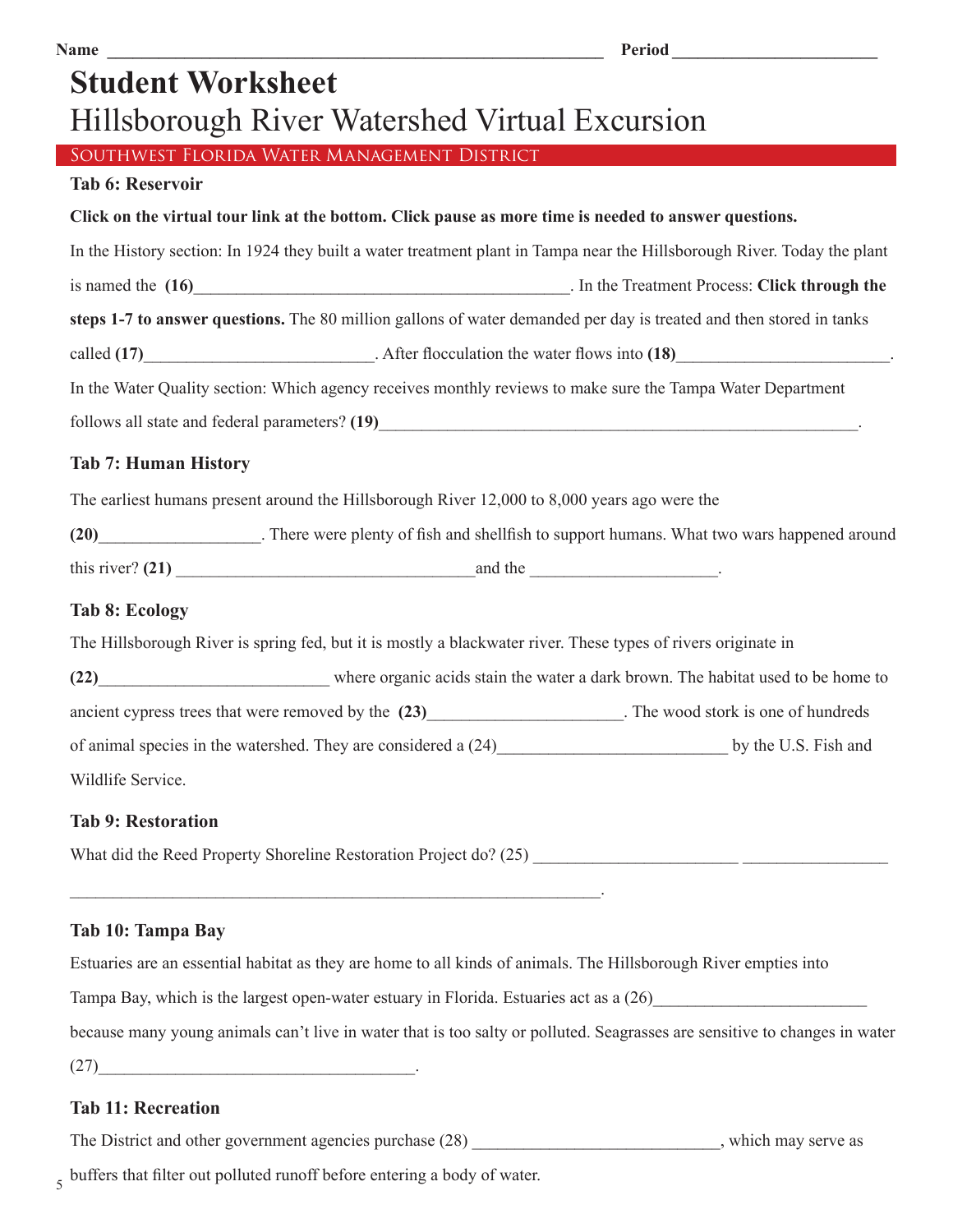| <b>Name</b>                                                                                                              | Period               |
|--------------------------------------------------------------------------------------------------------------------------|----------------------|
| <b>Student Worksheet</b>                                                                                                 |                      |
| Hillsborough River Watershed Virtual Excursion                                                                           |                      |
| SOUTHWEST FLORIDA WATER MANAGEMENT DISTRICT                                                                              |                      |
| <b>Tab 6: Reservoir</b>                                                                                                  |                      |
| Click on the virtual tour link at the bottom. Click pause as more time is needed to answer questions.                    |                      |
| In the History section: In 1924 they built a water treatment plant in Tampa near the Hillsborough River. Today the plant |                      |
|                                                                                                                          |                      |
| steps 1-7 to answer questions. The 80 million gallons of water demanded per day is treated and then stored in tanks      |                      |
|                                                                                                                          |                      |
| In the Water Quality section: Which agency receives monthly reviews to make sure the Tampa Water Department              |                      |
|                                                                                                                          |                      |
| <b>Tab 7: Human History</b>                                                                                              |                      |
| The earliest humans present around the Hillsborough River 12,000 to 8,000 years ago were the                             |                      |
| (20)________________________. There were plenty of fish and shellfish to support humans. What two wars happened around   |                      |
|                                                                                                                          |                      |
| <b>Tab 8: Ecology</b>                                                                                                    |                      |
| The Hillsborough River is spring fed, but it is mostly a blackwater river. These types of rivers originate in            |                      |
| (22) where organic acids stain the water a dark brown. The habitat used to be home to                                    |                      |
| ancient cypress trees that were removed by the (23)______________________. The wood stork is one of hundreds             |                      |
|                                                                                                                          | by the U.S. Fish and |
| Wildlife Service.                                                                                                        |                      |
| <b>Tab 9: Restoration</b>                                                                                                |                      |
|                                                                                                                          |                      |

## **Tab 10: Tampa Bay**

Estuaries are an essential habitat as they are home to all kinds of animals. The Hillsborough River empties into

Tampa Bay, which is the largest open-water estuary in Florida. Estuaries act as a  $(26)$ 

because many young animals can't live in water that is too salty or polluted. Seagrasses are sensitive to changes in water

 $(27)$   $\qquad \qquad$ 

## **Tab 11: Recreation**

The District and other government agencies purchase  $(28)$  \_\_\_\_\_\_\_\_\_\_\_\_\_\_\_\_\_\_\_\_\_\_\_\_, which may serve as

5 buffers that filter out polluted runoff before entering a body of water.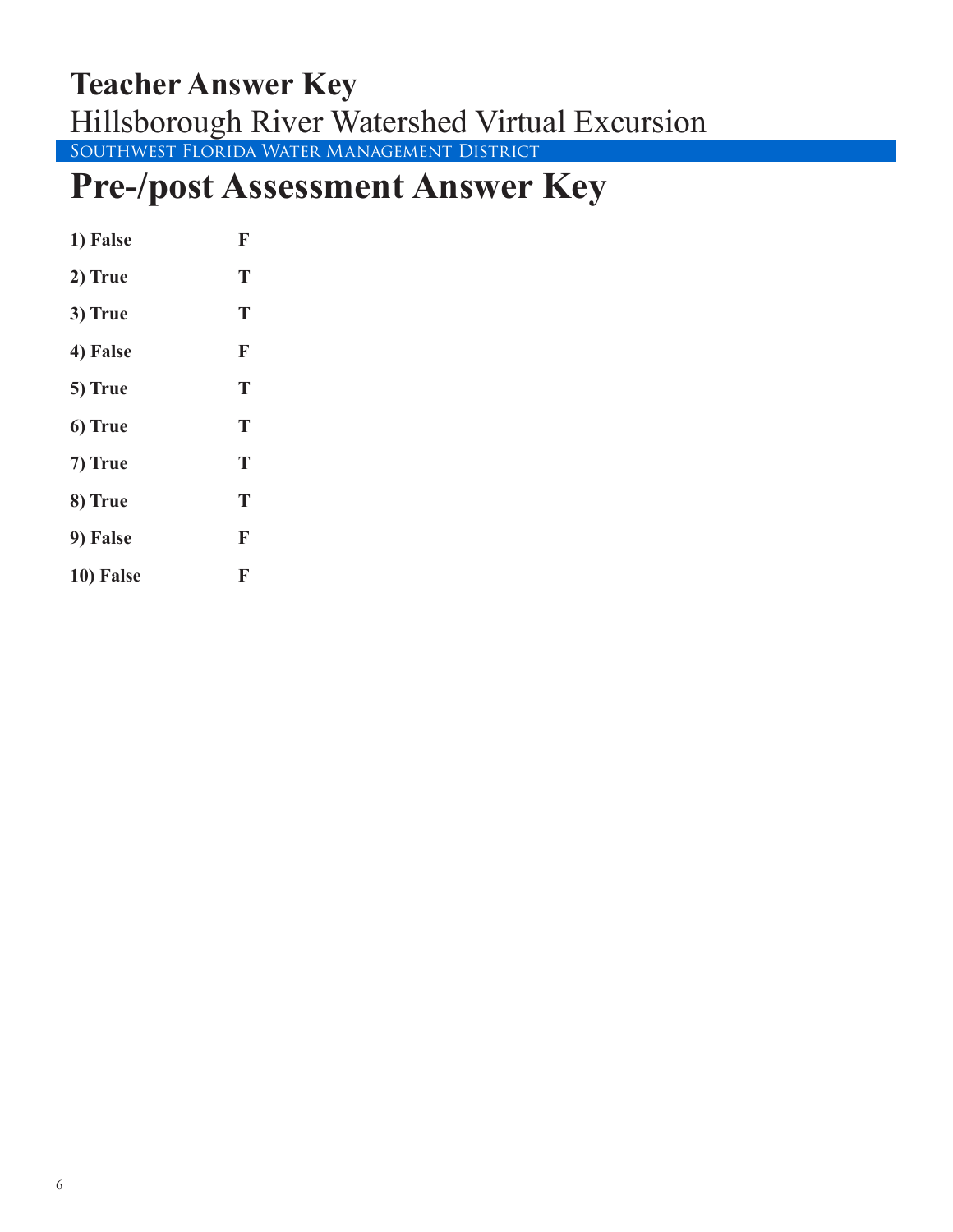## Southwest Florida Water Management District **Teacher Answer Key** Hillsborough River Watershed Virtual Excursion

# **Pre-/post Assessment Answer Key**

| 1) False  | F |
|-----------|---|
| 2) True   | T |
| 3) True   | T |
| 4) False  | F |
| 5) True   | T |
| 6) True   | T |
| 7) True   | T |
| 8) True   | T |
| 9) False  | F |
| 10) False | F |